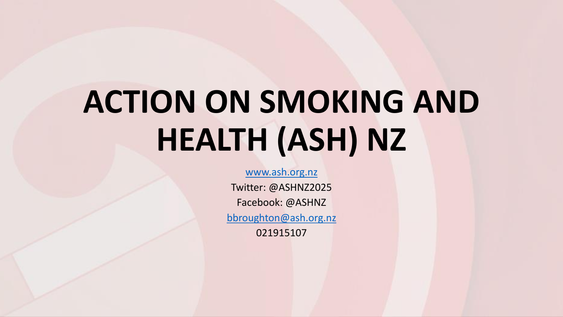# **ACTION ON SMOKING AND HEALTH (ASH) NZ**

#### [www.ash.org.nz](http://www.ash.org.nz/)

Twitter: @ASHNZ2025 Facebook: @ASHNZ [bbroughton@ash.org.nz](mailto:bbroughton@ash.org.nz) 021915107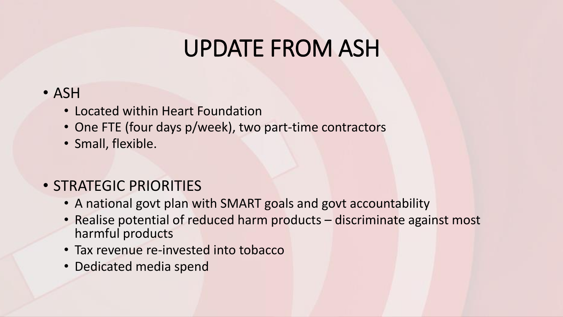## UPDATE FROM ASH

#### • ASH

- Located within Heart Foundation
- One FTE (four days p/week), two part-time contractors
- Small, flexible.

### • STRATEGIC PRIORITIES

- A national govt plan with SMART goals and govt accountability
- Realise potential of reduced harm products discriminate against most harmful products
- Tax revenue re-invested into tobacco
- Dedicated media spend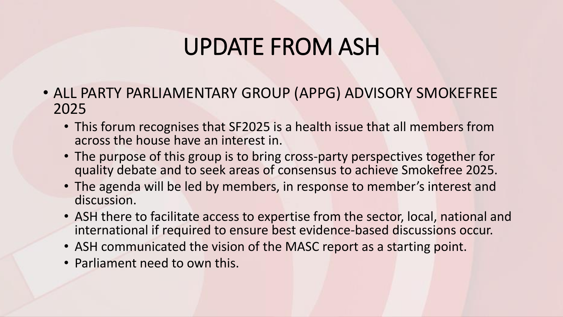### UPDATE FROM ASH

- ALL PARTY PARLIAMENTARY GROUP (APPG) ADVISORY SMOKEFREE 2025
	- This forum recognises that SF2025 is a health issue that all members from across the house have an interest in.
	- The purpose of this group is to bring cross-party perspectives together for quality debate and to seek areas of consensus to achieve Smokefree 2025.
	- The agenda will be led by members, in response to member's interest and discussion.
	- ASH there to facilitate access to expertise from the sector, local, national and international if required to ensure best evidence-based discussions occur.
	- ASH communicated the vision of the MASC report as a starting point.
	- Parliament need to own this.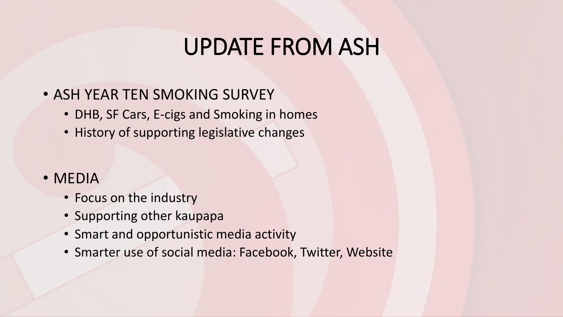### UPDATE FROM ASH

#### • ASH YEAR TEN SMOKING SURVEY

- DHB, SF Cars, E-cigs and Smoking in homes
- History of supporting legislative changes

#### • MEDIA

- Focus on the industry
- Supporting other kaupapa
- Smart and opportunistic media activity
- Smarter use of social media: Facebook, Twitter, Website